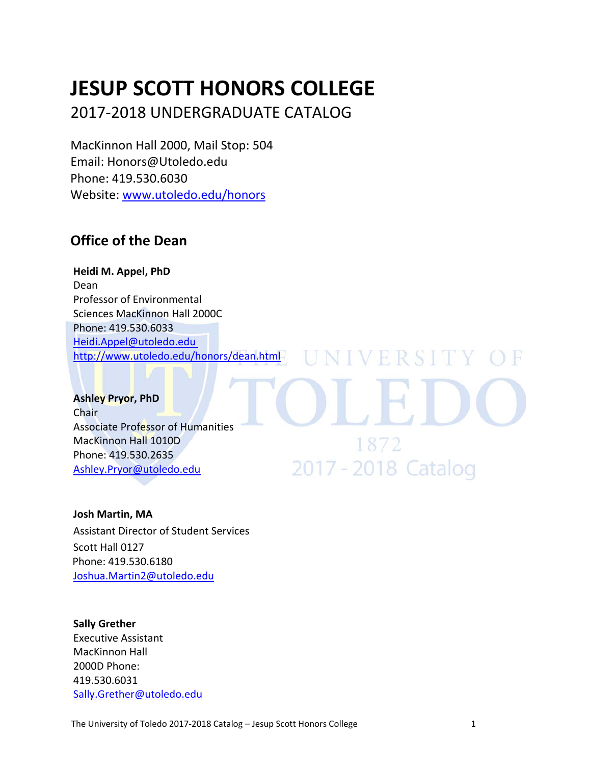# **JESUP SCOTT HONORS COLLEGE**

2017‐2018 UNDERGRADUATE CATALOG

MacKinnon Hall 2000, Mail Stop: 504 Email: Honors@Utoledo.edu Phone: 419.530.6030 Website: www.utoledo.edu/honors

## **Office of the Dean**

**Heidi M. Appel, PhD** Dean Professor of Environmental Sciences MacKinnon Hall 2000C Phone: 419.530.6033 Heidi.Appel@utoledo.edu http://www.utoledo.edu/honors/dean.html

**Ashley Pryor, PhD** Chair Associate Professor of Humanities MacKinnon Hall 1010D Phone: 419.530.2635 Ashley.Pryor@utoledo.edu

1872 2017 - 2018 Catalog

NIVERSITY

#### **Josh Martin, MA**

Assistant Director of Student Services Scott Hall 0127 Phone: 419.530.6180 Joshua.Martin2@utoledo.edu

#### **Sally Grether**

Executive Assistant MacKinnon Hall 2000D Phone: 419.530.6031 Sally.Grether@utoledo.edu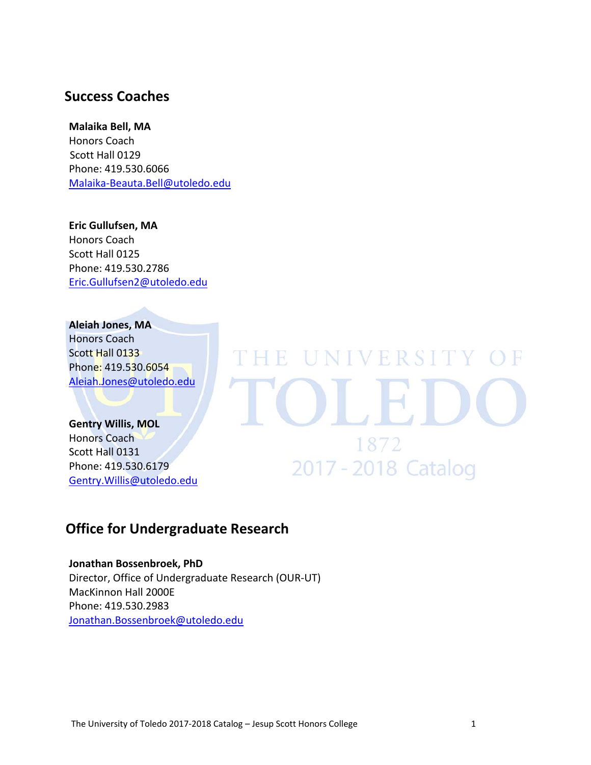## **Success Coaches**

#### **Malaika Bell, MA**

Honors Coach Scott Hall 0129 Phone: 419.530.6066 Malaika‐Beauta.Bell@utoledo.edu

**Eric Gullufsen, MA** Honors Coach Scott Hall 0125 Phone: 419.530.2786 Eric.Gullufsen2@utoledo.edu

## **Aleiah Jones, MA**

Honors Coach Scott Hall 0133 Phone: 419.530.6054 Aleiah.Jones@utoledo.edu

## **Gentry Willis, MOL**

Honors Coach Scott Hall 0131 Phone: 419.530.6179 Gentry.Willis@utoledo.edu

## **Office for Undergraduate Research**

**Jonathan Bossenbroek, PhD** Director, Office of Undergraduate Research (OUR‐UT) MacKinnon Hall 2000E Phone: 419.530.2983 Jonathan.Bossenbroek@utoledo.edu

THE UNIVERSITY OF

1872

2017 - 2018 Catalog

OLEI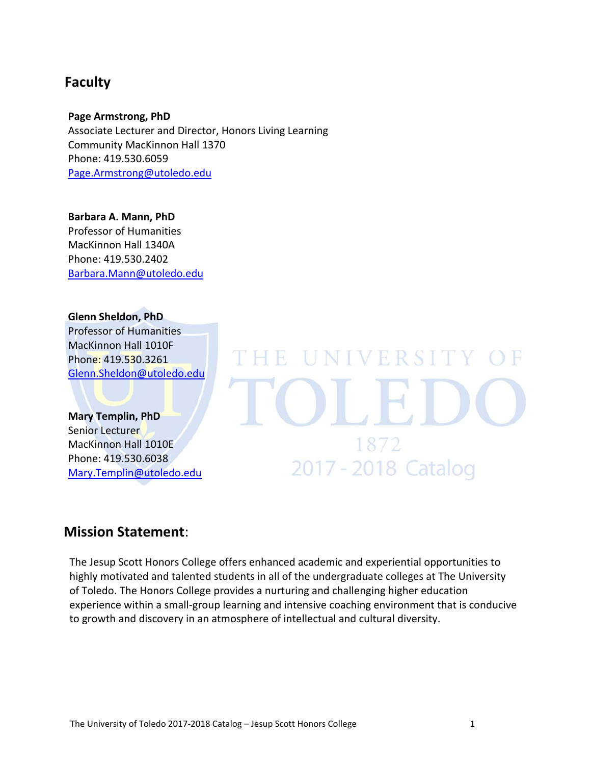## **Faculty**

**Page Armstrong, PhD** Associate Lecturer and Director, Honors Living Learning Community MacKinnon Hall 1370 Phone: 419.530.6059 Page.Armstrong@utoledo.edu

**Barbara A. Mann, PhD** Professor of Humanities MacKinnon Hall 1340A Phone: 419.530.2402 Barbara.Mann@utoledo.edu

**Glenn Sheldon, PhD** Professor of Humanities MacKinnon Hall 1010F Phone: 419.530.3261

Glenn.Sheldon@utoledo.edu

**Mary Templin, PhD** Senior Lecturer MacKinnon Hall 1010E Phone: 419.530.6038 Mary.Templin@utoledo.edu

## **Mission Statement**:

The Jesup Scott Honors College offers enhanced academic and experiential opportunities to highly motivated and talented students in all of the undergraduate colleges at The University of Toledo. The Honors College provides a nurturing and challenging higher education experience within a small-group learning and intensive coaching environment that is conducive to growth and discovery in an atmosphere of intellectual and cultural diversity.

HB

UNIVERSITY

1872

2017 - 2018 Catalog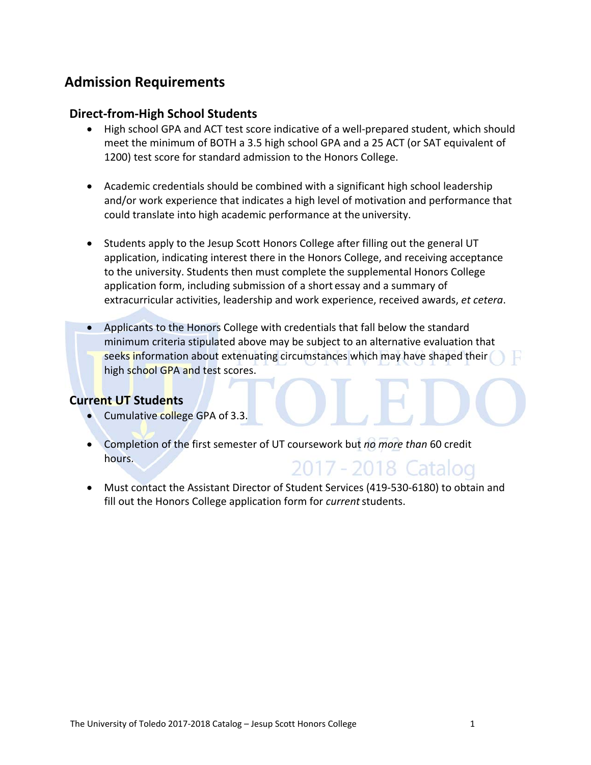## **Admission Requirements**

## **Direct‐from‐High School Students**

- High school GPA and ACT test score indicative of a well-prepared student, which should meet the minimum of BOTH a 3.5 high school GPA and a 25 ACT (or SAT equivalent of 1200) test score for standard admission to the Honors College.
- Academic credentials should be combined with a significant high school leadership and/or work experience that indicates a high level of motivation and performance that could translate into high academic performance at the university.
- Students apply to the Jesup Scott Honors College after filling out the general UT application, indicating interest there in the Honors College, and receiving acceptance to the university. Students then must complete the supplemental Honors College application form, including submission of a short essay and a summary of extracurricular activities, leadership and work experience, received awards, *et cetera*.
- Applicants to the Honors College with credentials that fall below the standard minimum criteria stipulated above may be subject to an alternative evaluation that seeks information about extenuating circumstances which may have shaped their high school GPA and test scores.

## **Current UT Students**

- Cumulative college GPA of 3.3.
- Completion of the first semester of UT coursework but *no more than* 60 credit hours. 2017 - 2018 Catalog
- Must contact the Assistant Director of Student Services (419-530-6180) to obtain and fill out the Honors College application form for *current*students.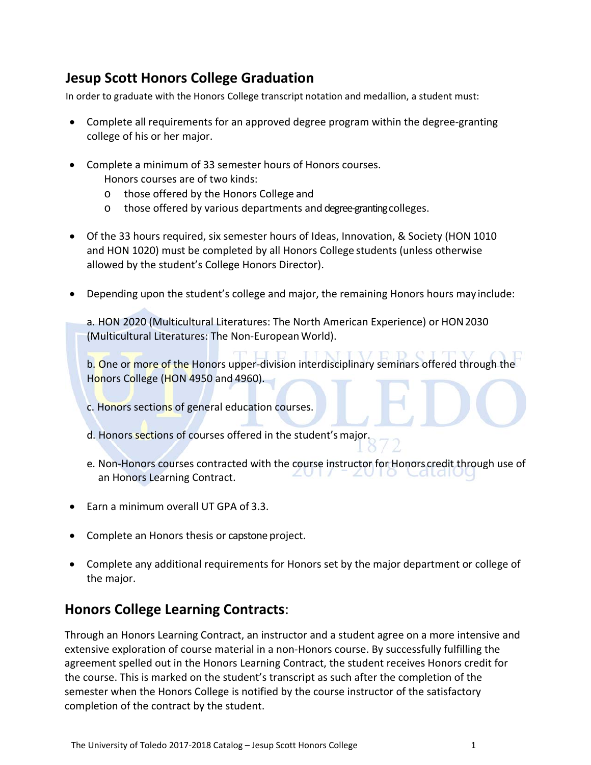## **Jesup Scott Honors College Graduation**

In order to graduate with the Honors College transcript notation and medallion, a student must:

- Complete all requirements for an approved degree program within the degree-granting college of his or her major.
- Complete a minimum of 33 semester hours of Honors courses. Honors courses are of two kinds:
	- o those offered by the Honors College and
	- o those offered by various departments and degree-granting colleges.
- Of the 33 hours required, six semester hours of Ideas, Innovation, & Society (HON 1010 and HON 1020) must be completed by all Honors College students (unless otherwise allowed by the student's College Honors Director).
- Depending upon the student's college and major, the remaining Honors hours may include:

a. HON 2020 (Multicultural Literatures: The North American Experience) or HON2030 (Multicultural Literatures: The Non‐EuropeanWorld).

b. One or more of the Honors upper-division interdisciplinary seminars offered through the Honors College (HON 4950 and 4960).

- c. Honors sections of general education courses.
- d. Honors sections of courses offered in the student's major.
- e. Non‐Honors courses contracted with the course instructor for Honors credit through use of an Honors Learning Contract.
- Earn a minimum overall UT GPA of 3.3.
- Complete an Honors thesis or capstone project.
- Complete any additional requirements for Honors set by the major department or college of the major.

## **Honors College Learning Contracts**:

Through an Honors Learning Contract, an instructor and a student agree on a more intensive and extensive exploration of course material in a non-Honors course. By successfully fulfilling the agreement spelled out in the Honors Learning Contract, the student receives Honors credit for the course. This is marked on the student's transcript as such after the completion of the semester when the Honors College is notified by the course instructor of the satisfactory completion of the contract by the student.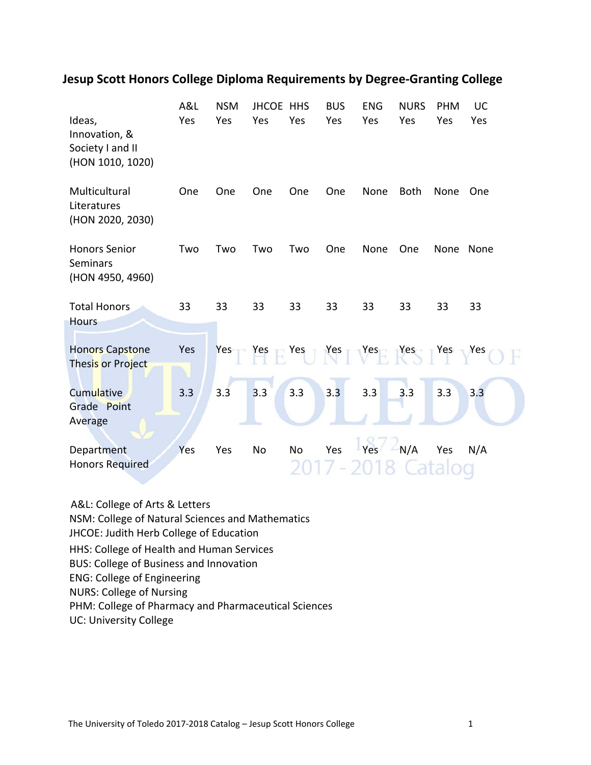## **Jesup Scott Honors College Diploma Requirements by Degree‐Granting College**

| Ideas,<br>Innovation, &<br>Society I and II<br>(HON 1010, 1020) | A&L<br>Yes | <b>NSM</b><br>Yes | JHCOE HHS<br>Yes                                | Yes       | <b>BUS</b><br>Yes | <b>ENG</b><br>Yes | <b>NURS</b><br>Yes | <b>PHM</b><br>Yes | UC<br>Yes |
|-----------------------------------------------------------------|------------|-------------------|-------------------------------------------------|-----------|-------------------|-------------------|--------------------|-------------------|-----------|
| Multicultural<br>Literatures<br>(HON 2020, 2030)                | One        | One               | One                                             | One       | One               | None              | <b>Both</b>        | None              | One       |
| <b>Honors Senior</b><br><b>Seminars</b><br>(HON 4950, 4960)     | Two        | Two               | Two                                             | Two       | One               | None              | One                | None              | None      |
| <b>Total Honors</b><br><b>Hours</b>                             | 33         | 33                | 33                                              | 33        | 33                | 33                | 33                 | 33                | 33        |
| <b>Honors Capstone</b><br>Thesis or Project                     | Yes        |                   | $Yes - Yes - Yes - Yes - Yes - Yes - Yes - Yes$ |           |                   |                   |                    |                   |           |
| Cumulative<br>Grade Point<br>Average                            | 3.3        | 3.3               | 3.3                                             | 3.3       | 3.3               | 3.3               | 3.3                | 3.3               | 3.3       |
| Department<br><b>Honors Required</b>                            | Yes        | Yes               | No                                              | <b>No</b> | Yes               | Yes               | $-N/A$             | Yes               | N/A       |

A&L: College of Arts & Letters NSM: College of Natural Sciences and Mathematics JHCOE: Judith Herb College of Education HHS: College of Health and Human Services BUS: College of Business and Innovation ENG: College of Engineering NURS: College of Nursing PHM: College of Pharmacy and Pharmaceutical Sciences UC: University College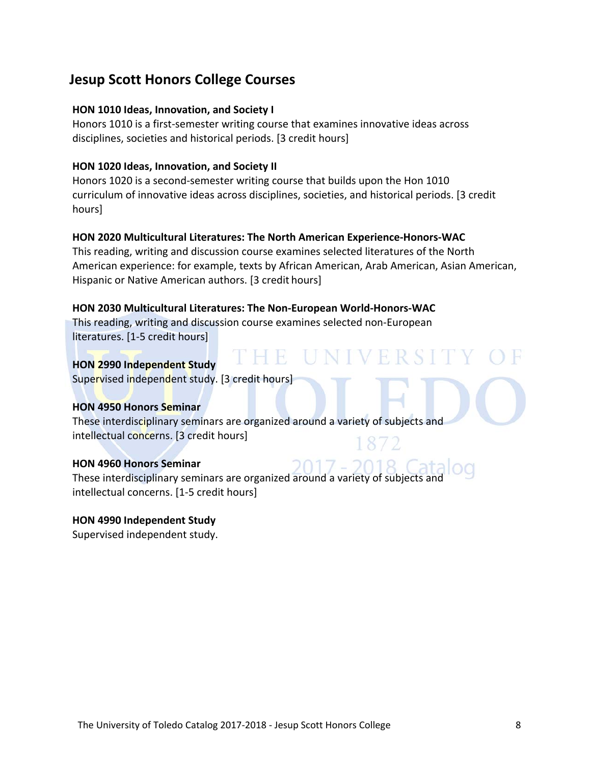## **Jesup Scott Honors College Courses**

#### **HON 1010 Ideas, Innovation, and Society I**

Honors 1010 is a first-semester writing course that examines innovative ideas across disciplines, societies and historical periods. [3 credit hours]

#### **HON 1020 Ideas, Innovation, and Society II**

Honors 1020 is a second‐semester writing course that builds upon the Hon 1010 curriculum of innovative ideas across disciplines, societies, and historical periods. [3 credit hours]

## **HON 2020 Multicultural Literatures: The North American Experience‐Honors‐WAC**

This reading, writing and discussion course examines selected literatures of the North American experience: for example, texts by African American, Arab American, Asian American, Hispanic or Native American authors. [3 credit hours]

'HE UN

## **HON 2030 Multicultural Literatures: The Non‐European World‐Honors‐WAC**

This reading, writing and discussion course examines selected non‐European literatures. [1‐5 credit hours]

#### **HON 2990 Independent Study**

Supervised independent study. [3 credit hours]

#### **HON 4950 Honors Seminar**

These interdisciplinary seminars are organized around a variety of subjects and intellectual concerns. [3 credit hours]

#### **HON 4960 Honors Seminar**

These interdisciplinary seminars are organized around a variety of subjects ar intellectual concerns. [1‐5 credit hours]

## **HON 4990 Independent Study**

Supervised independent study.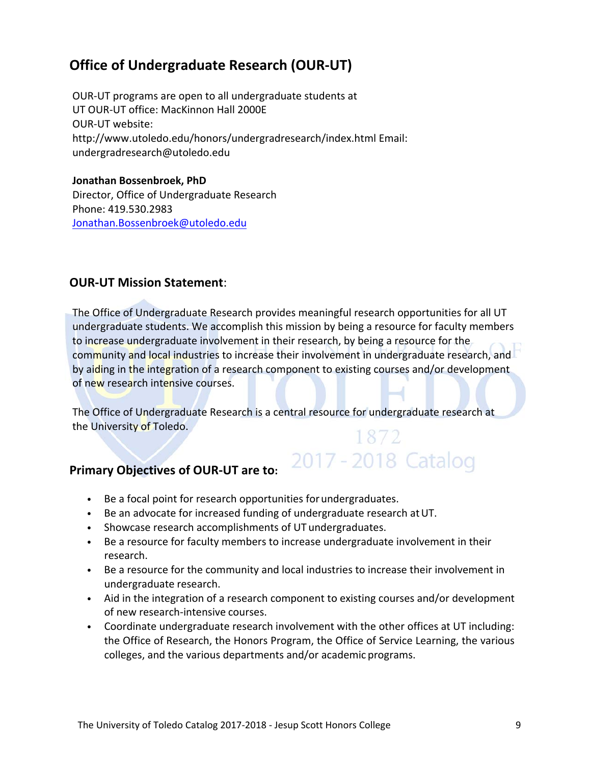## **Office of Undergraduate Research (OUR‐UT)**

OUR‐UT programs are open to all undergraduate students at UT OUR‐UT office: MacKinnon Hall 2000E OUR‐UT website: http://www.utoledo.edu/honors/undergradresearch/index.html Email: undergradresearch@utoledo.edu

**Jonathan Bossenbroek, PhD** Director, Office of Undergraduate Research Phone: 419.530.2983 Jonathan.Bossenbroek@utoledo.edu

## **OUR‐UT Mission Statement**:

The Office of Undergraduate Research provides meaningful research opportunities for all UT undergraduate students. We accomplish this mission by being a resource for faculty members to increase undergraduate involvement in their research, by being a resource for the community and local industries to increase their involvement in undergraduate research, and by aiding in the integration of a research component to existing courses and/or development of new research intensive courses.

The Office of Undergraduate Research is a central resource for undergraduate research at the University of Toledo. 1872

2017 - 2018 Catalog

## **Primary Objectives of OUR‐UT are to:**

- Be a focal point for research opportunities forundergraduates.
- Be an advocate for increased funding of undergraduate research at UT.
- Showcase research accomplishments of UT undergraduates.
- Be a resource for faculty members to increase undergraduate involvement in their research.
- Be a resource for the community and local industries to increase their involvement in undergraduate research.
- Aid in the integration of a research component to existing courses and/or development of new research‐intensive courses.
- Coordinate undergraduate research involvement with the other offices at UT including: the Office of Research, the Honors Program, the Office of Service Learning, the various colleges, and the various departments and/or academic programs.